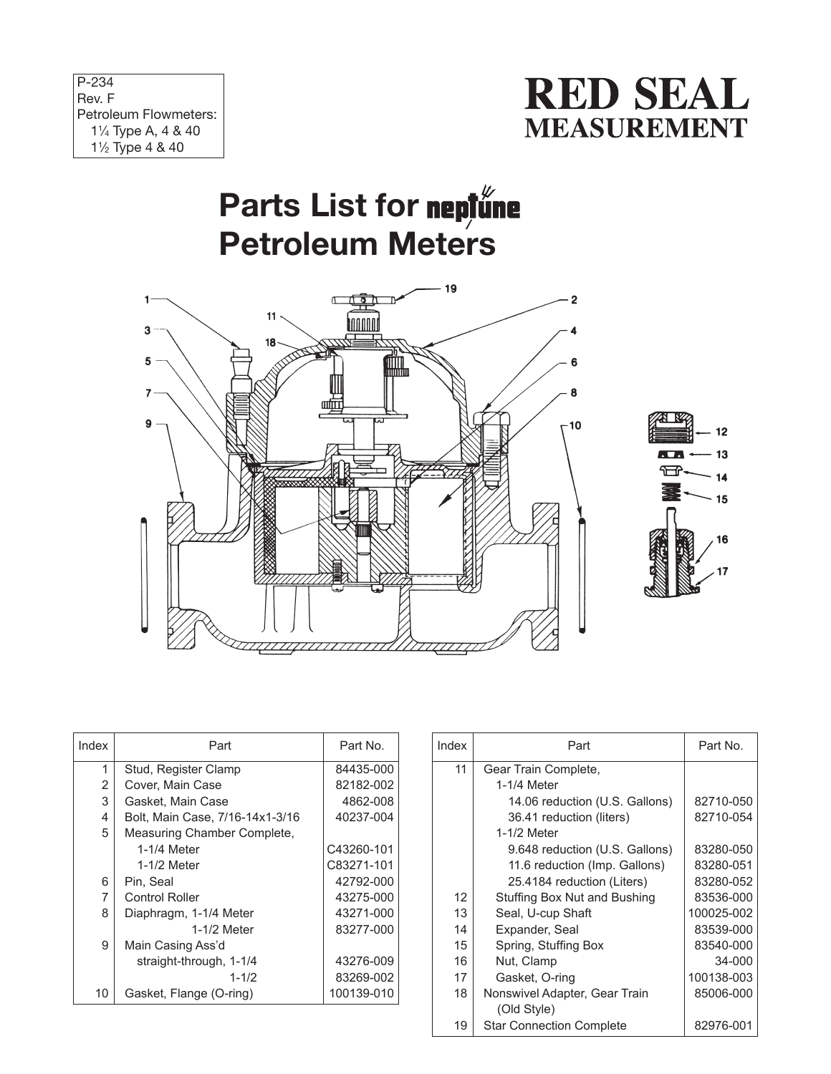| $P-234$                       |
|-------------------------------|
| Rev. F                        |
| Petroleum Flowmeters:         |
| $1\frac{1}{4}$ Type A, 4 & 40 |
| $1\frac{1}{2}$ Type 4 & 40    |



## Parts List for neptune **Petroleum Meters**





| Index | Part                            | Part No.   |
|-------|---------------------------------|------------|
| 1     | Stud, Register Clamp            | 84435-000  |
| 2     | Cover. Main Case                | 82182-002  |
| 3     | Gasket, Main Case               | 4862-008   |
| 4     | Bolt, Main Case, 7/16-14x1-3/16 | 40237-004  |
| 5     | Measuring Chamber Complete,     |            |
|       | 1-1/4 Meter                     | C43260-101 |
|       | 1-1/2 Meter                     | C83271-101 |
| 6     | Pin, Seal                       | 42792-000  |
| 7     | <b>Control Roller</b>           | 43275-000  |
| 8     | Diaphragm, 1-1/4 Meter          | 43271-000  |
|       | 1-1/2 Meter                     | 83277-000  |
| 9     | Main Casing Ass'd               |            |
|       | straight-through, 1-1/4         | 43276-009  |
|       | $1 - 1/2$                       | 83269-002  |
| 10    | Gasket, Flange (O-ring)         | 100139-010 |

| Index | Part                            | Part No.   |
|-------|---------------------------------|------------|
| 11    | Gear Train Complete,            |            |
|       | 1-1/4 Meter                     |            |
|       | 14.06 reduction (U.S. Gallons)  | 82710-050  |
|       | 36.41 reduction (liters)        | 82710-054  |
|       | 1-1/2 Meter                     |            |
|       | 9.648 reduction (U.S. Gallons)  | 83280-050  |
|       | 11.6 reduction (Imp. Gallons)   | 83280-051  |
|       | 25.4184 reduction (Liters)      | 83280-052  |
| 12    | Stuffing Box Nut and Bushing    | 83536-000  |
| 13    | Seal, U-cup Shaft               | 100025-002 |
| 14    | Expander, Seal                  | 83539-000  |
| 15    | Spring, Stuffing Box            | 83540-000  |
| 16    | Nut. Clamp                      | 34-000     |
| 17    | Gasket, O-ring                  | 100138-003 |
| 18    | Nonswivel Adapter, Gear Train   | 85006-000  |
|       | (Old Style)                     |            |
| 19    | <b>Star Connection Complete</b> | 82976-001  |